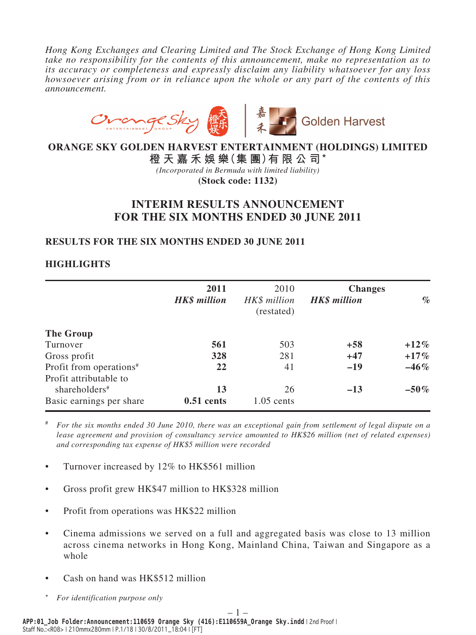*Hong Kong Exchanges and Clearing Limited and The Stock Exchange of Hong Kong Limited take no responsibility for the contents of this announcement, make no representation as to its accuracy or completeness and expressly disclaim any liability whatsoever for any loss howsoever arising from or in reliance upon the whole or any part of the contents of this announcement.*



# **ORANGE SKY GOLDEN HARVEST ENTERTAINMENT (HOLDINGS) LIMITED**

**橙天嘉禾娛樂(集 團)有限公司**\*

*(Incorporated in Bermuda with limited liability)*

**(Stock code: 1132)**

# **INTERIM RESULTS ANNOUNCEMENT FOR THE SIX MONTHS ENDED 30 JUNE 2011**

### **RESULTS FOR THE SIX MONTHS ENDED 30 JUNE 2011**

# **HIGHLIGHTS**

|                                     | 2011                | 2010                       | <b>Changes</b>      |         |
|-------------------------------------|---------------------|----------------------------|---------------------|---------|
|                                     | <b>HK\$</b> million | HK\$ million<br>(restated) | <b>HK\$</b> million | $\%$    |
| The Group                           |                     |                            |                     |         |
| Turnover                            | 561                 | 503                        | $+58$               | $+12\%$ |
| Gross profit                        | 328                 | 281                        | $+47$               | $+17\%$ |
| Profit from operations <sup>#</sup> | 22                  | 41                         | $-19$               | $-46\%$ |
| Profit attributable to              |                     |                            |                     |         |
| shareholders <sup>#</sup>           | 13                  | 26                         | $-13$               | $-50\%$ |
| Basic earnings per share            | $0.51$ cents        | $1.05$ cents               |                     |         |

# *For the six months ended 30 June 2010, there was an exceptional gain from settlement of legal dispute on a lease agreement and provision of consultancy service amounted to HK\$26 million (net of related expenses) and corresponding tax expense of HK\$5 million were recorded*

- Turnover increased by 12% to HK\$561 million
- Gross profit grew HK\$47 million to HK\$328 million
- Profit from operations was HK\$22 million
- Cinema admissions we served on a full and aggregated basis was close to 13 million across cinema networks in Hong Kong, Mainland China, Taiwan and Singapore as a whole
- Cash on hand was HK\$512 million
- \* *For identification purpose only*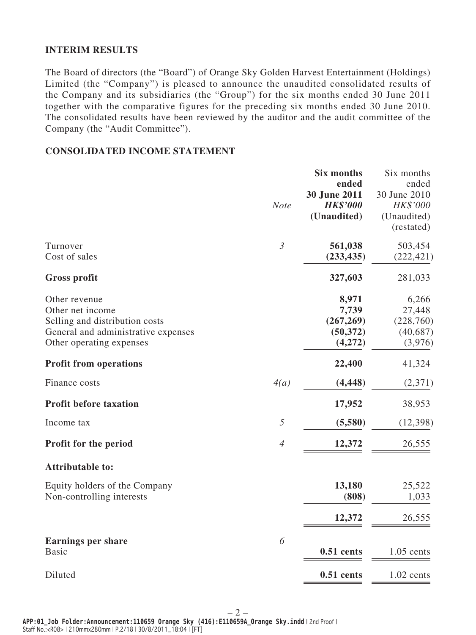## **INTERIM RESULTS**

The Board of directors (the "Board") of Orange Sky Golden Harvest Entertainment (Holdings) Limited (the "Company") is pleased to announce the unaudited consolidated results of the Company and its subsidiaries (the "Group") for the six months ended 30 June 2011 together with the comparative figures for the preceding six months ended 30 June 2010. The consolidated results have been reviewed by the auditor and the audit committee of the Company (the "Audit Committee").

### **CONSOLIDATED INCOME STATEMENT**

|                                                                                                                                        | <b>Note</b>    | <b>Six months</b><br>ended<br>30 June 2011<br><b>HK\$'000</b><br>(Unaudited) | Six months<br>ended<br>30 June 2010<br>HK\$'000<br>(Unaudited)<br>(restated) |
|----------------------------------------------------------------------------------------------------------------------------------------|----------------|------------------------------------------------------------------------------|------------------------------------------------------------------------------|
| Turnover<br>Cost of sales                                                                                                              | $\mathfrak{Z}$ | 561,038<br>(233, 435)                                                        | 503,454<br>(222, 421)                                                        |
| <b>Gross profit</b>                                                                                                                    |                | 327,603                                                                      | 281,033                                                                      |
| Other revenue<br>Other net income<br>Selling and distribution costs<br>General and administrative expenses<br>Other operating expenses |                | 8,971<br>7,739<br>(267, 269)<br>(50, 372)<br>(4,272)                         | 6,266<br>27,448<br>(228,760)<br>(40, 687)<br>(3,976)                         |
| <b>Profit from operations</b>                                                                                                          |                | 22,400                                                                       | 41,324                                                                       |
| Finance costs                                                                                                                          | 4(a)           | (4, 448)                                                                     | (2,371)                                                                      |
| <b>Profit before taxation</b>                                                                                                          |                | 17,952                                                                       | 38,953                                                                       |
| Income tax                                                                                                                             | 5              | (5,580)                                                                      | (12, 398)                                                                    |
| Profit for the period                                                                                                                  | $\overline{4}$ | 12,372                                                                       | 26,555                                                                       |
| <b>Attributable to:</b>                                                                                                                |                |                                                                              |                                                                              |
| Equity holders of the Company<br>Non-controlling interests                                                                             |                | 13,180<br>(808)                                                              | 25,522<br>1,033                                                              |
|                                                                                                                                        |                | 12,372                                                                       | 26,555                                                                       |
| <b>Earnings per share</b><br><b>Basic</b>                                                                                              | 6              | $0.51$ cents                                                                 | $1.05$ cents                                                                 |
| Diluted                                                                                                                                |                | $0.51$ cents                                                                 | $1.02$ cents                                                                 |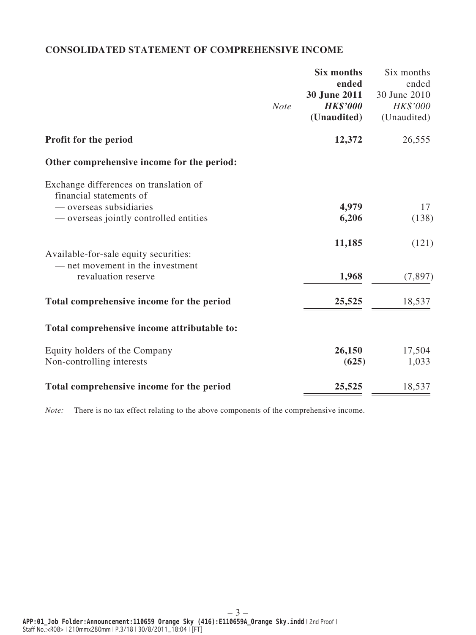# **CONSOLIDATED STATEMENT OF COMPREHENSIVE INCOME**

|                                                                   |             | Six months      | Six months   |
|-------------------------------------------------------------------|-------------|-----------------|--------------|
|                                                                   |             | ended           | ended        |
|                                                                   |             | 30 June 2011    | 30 June 2010 |
|                                                                   | <b>Note</b> | <b>HK\$'000</b> | HK\$'000     |
|                                                                   |             | (Unaudited)     | (Unaudited)  |
| <b>Profit for the period</b>                                      |             | 12,372          | 26,555       |
| Other comprehensive income for the period:                        |             |                 |              |
| Exchange differences on translation of<br>financial statements of |             |                 |              |
| — overseas subsidiaries                                           |             | 4,979           | 17           |
| — overseas jointly controlled entities                            |             | 6,206           | (138)        |
|                                                                   |             | 11,185          | (121)        |
| Available-for-sale equity securities:                             |             |                 |              |
| — net movement in the investment                                  |             |                 |              |
| revaluation reserve                                               |             | 1,968           | (7, 897)     |
| Total comprehensive income for the period                         |             | 25,525          | 18,537       |
| Total comprehensive income attributable to:                       |             |                 |              |
| Equity holders of the Company                                     |             | 26,150          | 17,504       |
| Non-controlling interests                                         |             | (625)           | 1,033        |
|                                                                   |             |                 |              |
| Total comprehensive income for the period                         |             | 25,525          | 18,537       |
|                                                                   |             |                 |              |

*Note:* There is no tax effect relating to the above components of the comprehensive income.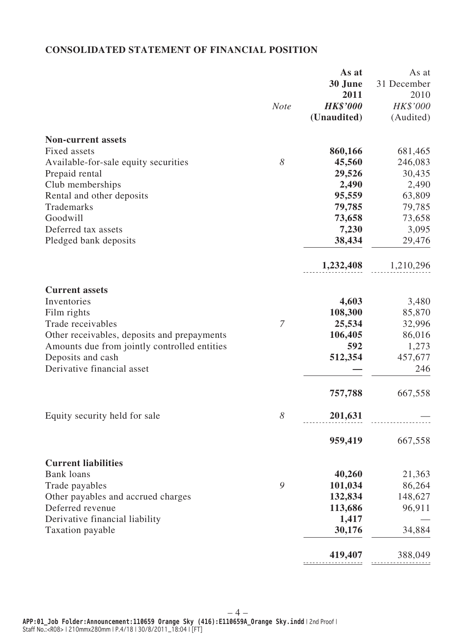# **CONSOLIDATED STATEMENT OF FINANCIAL POSITION**

|                                              |             | As at           | As at               |
|----------------------------------------------|-------------|-----------------|---------------------|
|                                              |             | 30 June<br>2011 | 31 December<br>2010 |
|                                              | <b>Note</b> | <b>HK\$'000</b> | HK\$'000            |
|                                              |             | (Unaudited)     |                     |
|                                              |             |                 | (Audited)           |
| <b>Non-current assets</b>                    |             |                 |                     |
| <b>Fixed assets</b>                          |             | 860,166         | 681,465             |
| Available-for-sale equity securities         | 8           | 45,560          | 246,083             |
| Prepaid rental                               |             | 29,526          | 30,435              |
| Club memberships                             |             | 2,490           | 2,490               |
| Rental and other deposits                    |             | 95,559          | 63,809              |
| Trademarks                                   |             | 79,785          | 79,785              |
| Goodwill                                     |             | 73,658          | 73,658              |
| Deferred tax assets                          |             | 7,230           | 3,095               |
| Pledged bank deposits                        |             | 38,434          | 29,476              |
|                                              |             | 1,232,408       | 1,210,296           |
| <b>Current assets</b>                        |             |                 |                     |
| Inventories                                  |             | 4,603           | 3,480               |
| Film rights                                  |             | 108,300         | 85,870              |
| Trade receivables                            | 7           | 25,534          | 32,996              |
| Other receivables, deposits and prepayments  |             | 106,405         | 86,016              |
| Amounts due from jointly controlled entities |             | 592             | 1,273               |
| Deposits and cash                            |             | 512,354         | 457,677             |
| Derivative financial asset                   |             |                 | 246                 |
|                                              |             | 757,788         | 667,558             |
| Equity security held for sale                | 8           | 201,631         |                     |
|                                              |             |                 |                     |
|                                              |             | 959,419         | 667,558             |
| <b>Current liabilities</b>                   |             |                 |                     |
| <b>Bank</b> loans                            |             | 40,260          | 21,363              |
| Trade payables                               | 9           | 101,034         | 86,264              |
| Other payables and accrued charges           |             | 132,834         | 148,627             |
| Deferred revenue                             |             | 113,686         | 96,911              |
| Derivative financial liability               |             | 1,417           |                     |
| Taxation payable                             |             | 30,176          | 34,884              |
|                                              |             | 419,407         | 388,049             |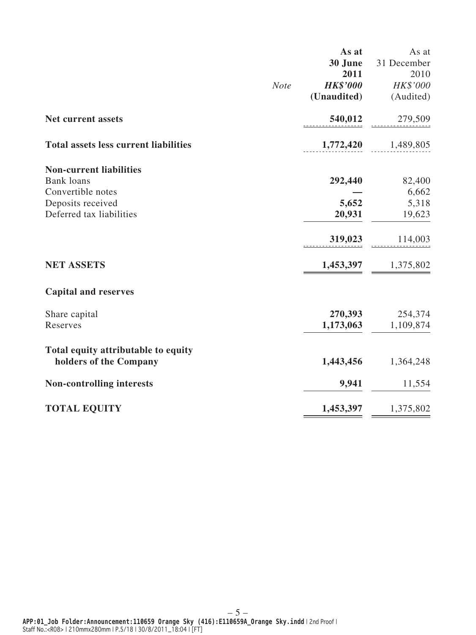|                                              |             | As at           | As at       |
|----------------------------------------------|-------------|-----------------|-------------|
|                                              |             | 30 June         | 31 December |
|                                              |             | 2011            | 2010        |
|                                              | <b>Note</b> | <b>HK\$'000</b> | HK\$'000    |
|                                              |             | (Unaudited)     | (Audited)   |
| Net current assets                           |             | 540,012         | 279,509     |
| <b>Total assets less current liabilities</b> |             | 1,772,420       | 1,489,805   |
| <b>Non-current liabilities</b>               |             |                 |             |
| <b>Bank</b> loans                            |             | 292,440         | 82,400      |
| Convertible notes                            |             |                 | 6,662       |
| Deposits received                            |             | 5,652           | 5,318       |
| Deferred tax liabilities                     |             | 20,931          | 19,623      |
|                                              |             | 319,023         | 114,003     |
| <b>NET ASSETS</b>                            |             | 1,453,397       | 1,375,802   |
| <b>Capital and reserves</b>                  |             |                 |             |
| Share capital                                |             | 270,393         | 254,374     |
| Reserves                                     |             | 1,173,063       | 1,109,874   |
| Total equity attributable to equity          |             |                 |             |
| holders of the Company                       |             | 1,443,456       | 1,364,248   |
| <b>Non-controlling interests</b>             |             | 9,941           | 11,554      |
| <b>TOTAL EQUITY</b>                          |             | 1,453,397       | 1,375,802   |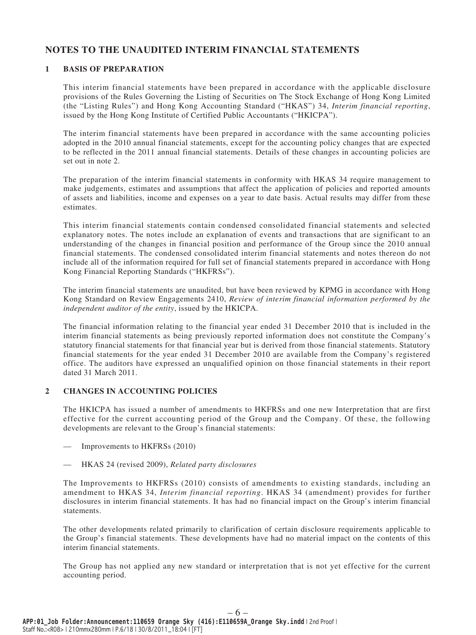### **NOTES TO THE UNAUDITED INTERIM FINANCIAL STATEMENTS**

### **1 BASIS OF PREPARATION**

This interim financial statements have been prepared in accordance with the applicable disclosure provisions of the Rules Governing the Listing of Securities on The Stock Exchange of Hong Kong Limited (the "Listing Rules") and Hong Kong Accounting Standard ("HKAS") 34, *Interim financial reporting*, issued by the Hong Kong Institute of Certified Public Accountants ("HKICPA").

The interim financial statements have been prepared in accordance with the same accounting policies adopted in the 2010 annual financial statements, except for the accounting policy changes that are expected to be reflected in the 2011 annual financial statements. Details of these changes in accounting policies are set out in note 2.

The preparation of the interim financial statements in conformity with HKAS 34 require management to make judgements, estimates and assumptions that affect the application of policies and reported amounts of assets and liabilities, income and expenses on a year to date basis. Actual results may differ from these estimates.

This interim financial statements contain condensed consolidated financial statements and selected explanatory notes. The notes include an explanation of events and transactions that are significant to an understanding of the changes in financial position and performance of the Group since the 2010 annual financial statements. The condensed consolidated interim financial statements and notes thereon do not include all of the information required for full set of financial statements prepared in accordance with Hong Kong Financial Reporting Standards ("HKFRSs").

The interim financial statements are unaudited, but have been reviewed by KPMG in accordance with Hong Kong Standard on Review Engagements 2410, *Review of interim financial information performed by the independent auditor of the entity*, issued by the HKICPA.

The financial information relating to the financial year ended 31 December 2010 that is included in the interim financial statements as being previously reported information does not constitute the Company's statutory financial statements for that financial year but is derived from those financial statements. Statutory financial statements for the year ended 31 December 2010 are available from the Company's registered office. The auditors have expressed an unqualified opinion on those financial statements in their report dated 31 March 2011.

#### **2 CHANGES IN ACCOUNTING POLICIES**

The HKICPA has issued a number of amendments to HKFRSs and one new Interpretation that are first effective for the current accounting period of the Group and the Company. Of these, the following developments are relevant to the Group's financial statements:

- Improvements to HKFRSs (2010)
- HKAS 24 (revised 2009), *Related party disclosures*

The Improvements to HKFRSs (2010) consists of amendments to existing standards, including an amendment to HKAS 34, *Interim financial reporting*. HKAS 34 (amendment) provides for further disclosures in interim financial statements. It has had no financial impact on the Group's interim financial statements.

The other developments related primarily to clarification of certain disclosure requirements applicable to the Group's financial statements. These developments have had no material impact on the contents of this interim financial statements.

The Group has not applied any new standard or interpretation that is not yet effective for the current accounting period.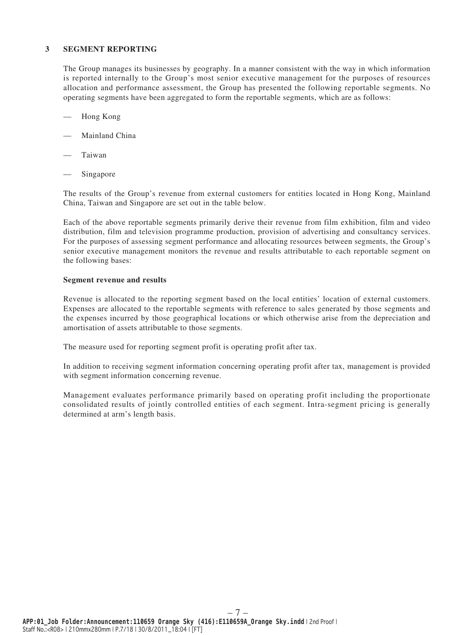#### **3 SEGMENT REPORTING**

The Group manages its businesses by geography. In a manner consistent with the way in which information is reported internally to the Group's most senior executive management for the purposes of resources allocation and performance assessment, the Group has presented the following reportable segments. No operating segments have been aggregated to form the reportable segments, which are as follows:

- Hong Kong
- Mainland China
- Taiwan
- Singapore

The results of the Group's revenue from external customers for entities located in Hong Kong, Mainland China, Taiwan and Singapore are set out in the table below.

Each of the above reportable segments primarily derive their revenue from film exhibition, film and video distribution, film and television programme production, provision of advertising and consultancy services. For the purposes of assessing segment performance and allocating resources between segments, the Group's senior executive management monitors the revenue and results attributable to each reportable segment on the following bases:

#### **Segment revenue and results**

Revenue is allocated to the reporting segment based on the local entities' location of external customers. Expenses are allocated to the reportable segments with reference to sales generated by those segments and the expenses incurred by those geographical locations or which otherwise arise from the depreciation and amortisation of assets attributable to those segments.

The measure used for reporting segment profit is operating profit after tax.

In addition to receiving segment information concerning operating profit after tax, management is provided with segment information concerning revenue.

Management evaluates performance primarily based on operating profit including the proportionate consolidated results of jointly controlled entities of each segment. Intra-segment pricing is generally determined at arm's length basis.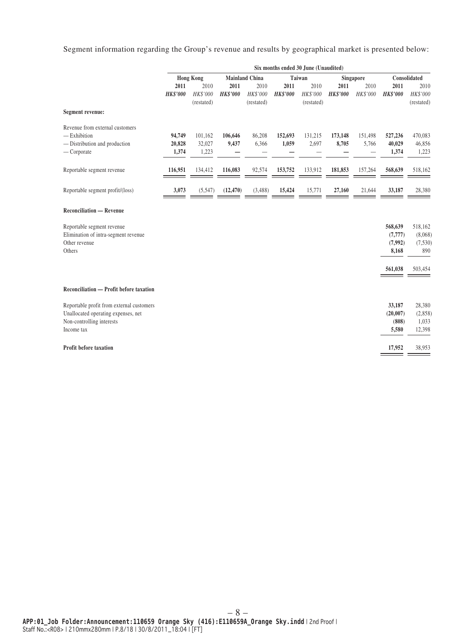Segment information regarding the Group's revenue and results by geographical market is presented below:

|                                                                                                                             | Six months ended 30 June (Unaudited) |                                |                         |                                             |                         |                                |                         |                                              |                                         |                                      |
|-----------------------------------------------------------------------------------------------------------------------------|--------------------------------------|--------------------------------|-------------------------|---------------------------------------------|-------------------------|--------------------------------|-------------------------|----------------------------------------------|-----------------------------------------|--------------------------------------|
|                                                                                                                             |                                      | <b>Hong Kong</b>               |                         | <b>Mainland China</b>                       |                         | Taiwan                         |                         | <b>Singapore</b>                             |                                         | Consolidated                         |
|                                                                                                                             | 2011<br><b>HK\$'000</b>              | 2010<br>HK\$'000<br>(restated) | 2011<br><b>HK\$'000</b> | 2010<br>HK\$'000<br>(restated)              | 2011<br><b>HK\$'000</b> | 2010<br>HK\$'000<br>(restated) | 2011<br><b>HK\$'000</b> | 2010<br>HK\$'000                             | 2011<br><b>HK\$'000</b>                 | 2010<br>HK\$'000<br>(restated)       |
| Segment revenue:                                                                                                            |                                      |                                |                         |                                             |                         |                                |                         |                                              |                                         |                                      |
| Revenue from external customers<br>$-$ Exhibition<br>- Distribution and production<br>$-$ Corporate                         | 94,749<br>20,828<br>1,374            | 101,162<br>32,027<br>1,223     | 106,646<br>9,437        | 86,208<br>6,366<br>$\overline{\phantom{0}}$ | 152,693<br>1,059        | 131,215<br>2,697               | 173,148<br>8,705        | 151,498<br>5,766<br>$\overline{\phantom{0}}$ | 527,236<br>40,029<br>1,374              | 470,083<br>46,856<br>1,223           |
| Reportable segment revenue                                                                                                  | 116,951                              | 134,412                        | 116,083                 | 92,574                                      | 153,752                 | 133,912                        | 181,853                 | 157,264                                      | 568,639                                 | 518,162                              |
| Reportable segment profit/(loss)                                                                                            | 3,073                                | (5,547)                        | (12, 470)               | (3, 488)                                    | 15,424                  | 15,771                         | 27,160                  | 21,644                                       | 33,187                                  | 28,380                               |
| <b>Reconciliation — Revenue</b>                                                                                             |                                      |                                |                         |                                             |                         |                                |                         |                                              |                                         |                                      |
| Reportable segment revenue<br>Elimination of intra-segment revenue<br>Other revenue<br>Others                               |                                      |                                |                         |                                             |                         |                                |                         |                                              | 568,639<br>(7, 777)<br>(7,992)<br>8,168 | 518,162<br>(8,068)<br>(7,530)<br>890 |
|                                                                                                                             |                                      |                                |                         |                                             |                         |                                |                         |                                              | 561,038                                 | 503,454                              |
| Reconciliation — Profit before taxation                                                                                     |                                      |                                |                         |                                             |                         |                                |                         |                                              |                                         |                                      |
| Reportable profit from external customers<br>Unallocated operating expenses, net<br>Non-controlling interests<br>Income tax |                                      |                                |                         |                                             |                         |                                |                         |                                              | 33,187<br>(20,007)<br>(808)<br>5,580    | 28,380<br>(2,858)<br>1,033<br>12,398 |
| <b>Profit before taxation</b>                                                                                               |                                      |                                |                         |                                             |                         |                                |                         |                                              | 17,952                                  | 38,953                               |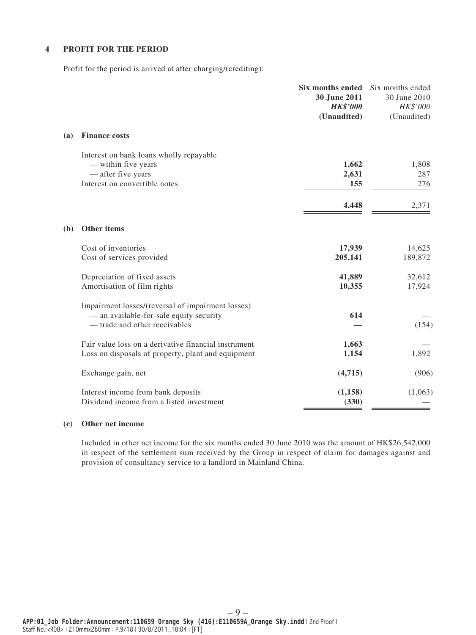### **4 PROFIT FOR THE PERIOD**

Profit for the period is arrived at after charging/(crediting):

|              |                                                                                                                               | <b>Six months ended</b><br>30 June 2011<br><b>HK\$'000</b><br>(Unaudited) | Six months ended<br>30 June 2010<br>HK\$'000<br>(Unaudited) |
|--------------|-------------------------------------------------------------------------------------------------------------------------------|---------------------------------------------------------------------------|-------------------------------------------------------------|
| (a)          | <b>Finance costs</b>                                                                                                          |                                                                           |                                                             |
|              | Interest on bank loans wholly repayable<br>— within five years<br>- after five years                                          | 1,662<br>2,631                                                            | 1,808<br>287                                                |
|              | Interest on convertible notes                                                                                                 | 155<br>4,448                                                              | 276<br>2,371                                                |
| ( <b>b</b> ) | Other items                                                                                                                   |                                                                           |                                                             |
|              | Cost of inventories<br>Cost of services provided                                                                              | 17,939<br>205,141                                                         | 14,625<br>189,872                                           |
|              | Depreciation of fixed assets<br>Amortisation of film rights                                                                   | 41,889<br>10,355                                                          | 32,612<br>17,924                                            |
|              | Impairment losses/(reversal of impairment losses)<br>- an available-for-sale equity security<br>- trade and other receivables | 614                                                                       | (154)                                                       |
|              | Fair value loss on a derivative financial instrument<br>Loss on disposals of property, plant and equipment                    | 1,663<br>1,154                                                            | 1,892                                                       |
|              | Exchange gain, net                                                                                                            | (4,715)                                                                   | (906)                                                       |
|              | Interest income from bank deposits<br>Dividend income from a listed investment                                                | (1, 158)<br>(330)                                                         | (1,063)                                                     |

#### **(c) Other net income**

Included in other net income for the six months ended 30 June 2010 was the amount of HK\$26,542,000 in respect of the settlement sum received by the Group in respect of claim for damages against and provision of consultancy service to a landlord in Mainland China.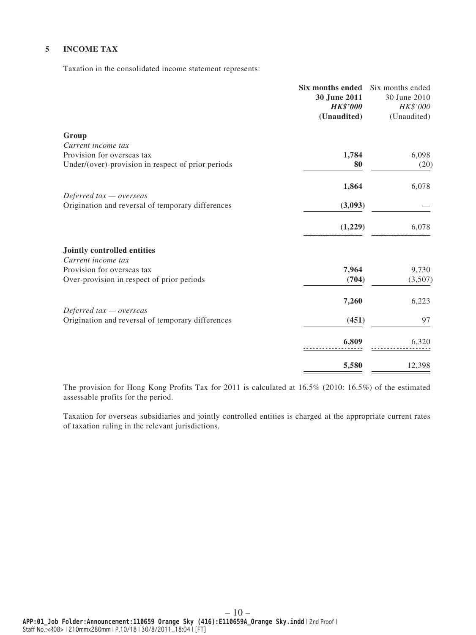### **5 INCOME TAX**

Taxation in the consolidated income statement represents:

|                                                    | Six months ended<br>30 June 2011<br><b>HK\$'000</b><br>(Unaudited) | Six months ended<br>30 June 2010<br>HK\$'000<br>(Unaudited) |
|----------------------------------------------------|--------------------------------------------------------------------|-------------------------------------------------------------|
| Group                                              |                                                                    |                                                             |
| Current income tax                                 |                                                                    |                                                             |
| Provision for overseas tax                         | 1,784                                                              | 6,098                                                       |
| Under/(over)-provision in respect of prior periods | 80                                                                 | (20)                                                        |
|                                                    | 1,864                                                              | 6,078                                                       |
| Deferred $tax -overse$                             |                                                                    |                                                             |
| Origination and reversal of temporary differences  | (3,093)                                                            |                                                             |
|                                                    | (1,229)                                                            | 6,078                                                       |
| <b>Jointly controlled entities</b>                 |                                                                    |                                                             |
| Current income tax                                 |                                                                    |                                                             |
| Provision for overseas tax                         | 7,964                                                              | 9,730                                                       |
| Over-provision in respect of prior periods         | (704)                                                              | (3,507)                                                     |
|                                                    | 7,260                                                              | 6,223                                                       |
| Deferred $tax -overse$                             |                                                                    |                                                             |
| Origination and reversal of temporary differences  | (451)                                                              | 97                                                          |
|                                                    | 6,809                                                              | 6,320                                                       |
|                                                    |                                                                    |                                                             |
|                                                    | 5,580                                                              | 12,398                                                      |

The provision for Hong Kong Profits Tax for 2011 is calculated at 16.5% (2010: 16.5%) of the estimated assessable profits for the period.

Taxation for overseas subsidiaries and jointly controlled entities is charged at the appropriate current rates of taxation ruling in the relevant jurisdictions.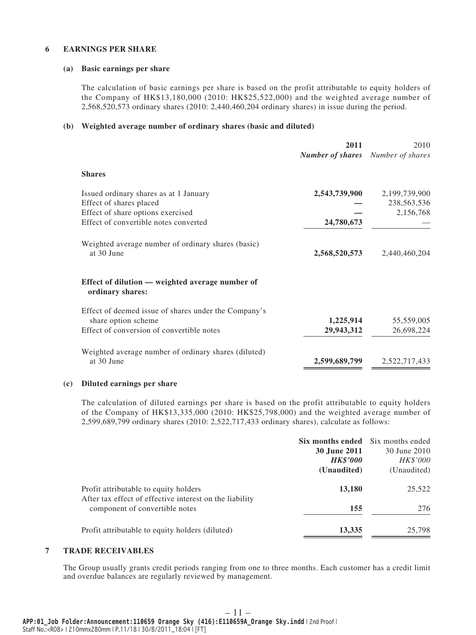#### **6 EARNINGS PER SHARE**

#### **(a) Basic earnings per share**

The calculation of basic earnings per share is based on the profit attributable to equity holders of the Company of HK\$13,180,000 (2010: HK\$25,522,000) and the weighted average number of 2,568,520,573 ordinary shares (2010: 2,440,460,204 ordinary shares) in issue during the period.

#### **(b) Weighted average number of ordinary shares (basic and diluted)**

|                                                                     | 2011<br><b>Number of shares</b> Number of shares | 2010          |
|---------------------------------------------------------------------|--------------------------------------------------|---------------|
| <b>Shares</b>                                                       |                                                  |               |
| Issued ordinary shares as at 1 January                              | 2,543,739,900                                    | 2,199,739,900 |
| Effect of shares placed                                             |                                                  | 238,563,536   |
| Effect of share options exercised                                   |                                                  | 2,156,768     |
| Effect of convertible notes converted                               | 24,780,673                                       |               |
| Weighted average number of ordinary shares (basic)<br>at 30 June    | 2,568,520,573                                    | 2,440,460,204 |
| Effect of dilution — weighted average number of<br>ordinary shares: |                                                  |               |
| Effect of deemed issue of shares under the Company's                |                                                  |               |
| share option scheme                                                 | 1,225,914                                        | 55,559,005    |
| Effect of conversion of convertible notes                           | 29,943,312                                       | 26,698,224    |
| Weighted average number of ordinary shares (diluted)                |                                                  |               |
| at 30 June                                                          | 2,599,689,799                                    | 2,522,717,433 |

#### **(c) Diluted earnings per share**

The calculation of diluted earnings per share is based on the profit attributable to equity holders of the Company of HK\$13,335,000 (2010: HK\$25,798,000) and the weighted average number of 2,599,689,799 ordinary shares (2010: 2,522,717,433 ordinary shares), calculate as follows:

|                                                                                           | <b>Six months ended</b> Six months ended<br><b>30 June 2011</b><br><b>HK\$'000</b><br>(Unaudited) | 30 June 2010<br>HK\$'000<br>(Unaudited) |
|-------------------------------------------------------------------------------------------|---------------------------------------------------------------------------------------------------|-----------------------------------------|
| Profit attributable to equity holders                                                     | 13,180                                                                                            | 25,522                                  |
| After tax effect of effective interest on the liability<br>component of convertible notes | 155                                                                                               | 276                                     |
| Profit attributable to equity holders (diluted)                                           | 13,335                                                                                            | 25,798                                  |

#### **7 TRADE RECEIVABLES**

The Group usually grants credit periods ranging from one to three months. Each customer has a credit limit and overdue balances are regularly reviewed by management.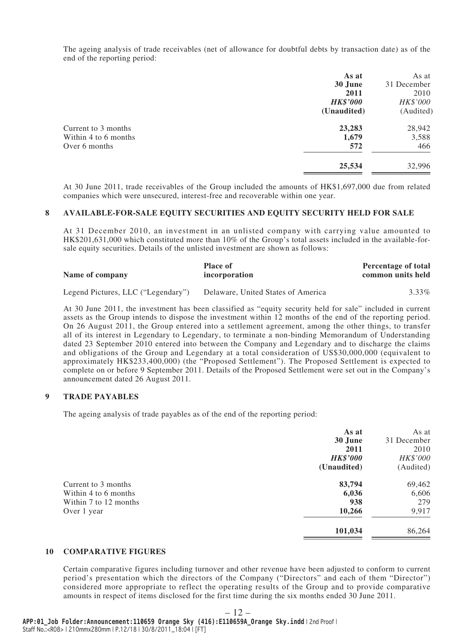The ageing analysis of trade receivables (net of allowance for doubtful debts by transaction date) as of the end of the reporting period:

|                      | As at           | As at       |
|----------------------|-----------------|-------------|
|                      | 30 June         | 31 December |
|                      | 2011            | 2010        |
|                      | <b>HK\$'000</b> | HK\$'000    |
|                      | (Unaudited)     | (Audited)   |
| Current to 3 months  | 23,283          | 28,942      |
| Within 4 to 6 months | 1,679           | 3,588       |
| Over 6 months        | 572             | 466         |
|                      | 25,534          | 32,996      |
|                      |                 |             |

At 30 June 2011, trade receivables of the Group included the amounts of HK\$1,697,000 due from related companies which were unsecured, interest-free and recoverable within one year.

#### **8 AVAILABLE-FOR-SALE EQUITY SECURITIES AND EQUITY SECURITY HELD FOR SALE**

At 31 December 2010, an investment in an unlisted company with carrying value amounted to HK\$201,631,000 which constituted more than 10% of the Group's total assets included in the available-forsale equity securities. Details of the unlisted investment are shown as follows:

| Name of company                    | <b>Place of</b><br>incorporation   | <b>Percentage of total</b><br>common units held |
|------------------------------------|------------------------------------|-------------------------------------------------|
| Legend Pictures, LLC ("Legendary") | Delaware, United States of America | $3.33\%$                                        |

At 30 June 2011, the investment has been classified as "equity security held for sale" included in current assets as the Group intends to dispose the investment within 12 months of the end of the reporting period. On 26 August 2011, the Group entered into a settlement agreement, among the other things, to transfer all of its interest in Legendary to Legendary, to terminate a non-binding Memorandum of Understanding dated 23 September 2010 entered into between the Company and Legendary and to discharge the claims and obligations of the Group and Legendary at a total consideration of US\$30,000,000 (equivalent to approximately HK\$233,400,000) (the "Proposed Settlement"). The Proposed Settlement is expected to complete on or before 9 September 2011. Details of the Proposed Settlement were set out in the Company's announcement dated 26 August 2011.

#### **9 TRADE PAYABLES**

The ageing analysis of trade payables as of the end of the reporting period:

|                       | As at<br>30 June<br>2011<br><b>HK\$'000</b><br>(Unaudited) | As at<br>31 December<br>2010<br>HK\$'000<br>(Audited) |
|-----------------------|------------------------------------------------------------|-------------------------------------------------------|
| Current to 3 months   | 83,794                                                     | 69,462                                                |
| Within 4 to 6 months  | 6,036                                                      | 6,606                                                 |
| Within 7 to 12 months | 938                                                        | 279                                                   |
| Over 1 year           | 10,266                                                     | 9,917                                                 |
|                       | 101,034                                                    | 86,264                                                |

#### **10 COMPARATIVE FIGURES**

Certain comparative figures including turnover and other revenue have been adjusted to conform to current period's presentation which the directors of the Company ("Directors" and each of them "Director") considered more appropriate to reflect the operating results of the Group and to provide comparative amounts in respect of items disclosed for the first time during the six months ended 30 June 2011.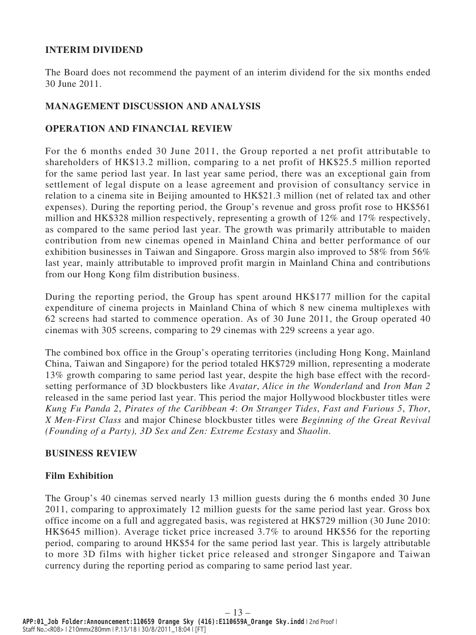# **INTERIM DIVIDEND**

The Board does not recommend the payment of an interim dividend for the six months ended 30 June 2011.

# **MANAGEMENT DISCUSSION AND ANALYSIS**

## **OPERATION AND FINANCIAL REVIEW**

For the 6 months ended 30 June 2011, the Group reported a net profit attributable to shareholders of HK\$13.2 million, comparing to a net profit of HK\$25.5 million reported for the same period last year. In last year same period, there was an exceptional gain from settlement of legal dispute on a lease agreement and provision of consultancy service in relation to a cinema site in Beijing amounted to HK\$21.3 million (net of related tax and other expenses). During the reporting period, the Group's revenue and gross profit rose to HK\$561 million and HK\$328 million respectively, representing a growth of 12% and 17% respectively, as compared to the same period last year. The growth was primarily attributable to maiden contribution from new cinemas opened in Mainland China and better performance of our exhibition businesses in Taiwan and Singapore. Gross margin also improved to 58% from 56% last year, mainly attributable to improved profit margin in Mainland China and contributions from our Hong Kong film distribution business.

During the reporting period, the Group has spent around HK\$177 million for the capital expenditure of cinema projects in Mainland China of which 8 new cinema multiplexes with 62 screens had started to commence operation. As of 30 June 2011, the Group operated 40 cinemas with 305 screens, comparing to 29 cinemas with 229 screens a year ago.

The combined box office in the Group's operating territories (including Hong Kong, Mainland China, Taiwan and Singapore) for the period totaled HK\$729 million, representing a moderate 13% growth comparing to same period last year, despite the high base effect with the recordsetting performance of 3D blockbusters like *Avatar*, *Alice in the Wonderland* and *Iron Man 2* released in the same period last year. This period the major Hollywood blockbuster titles were *Kung Fu Panda 2*, *Pirates of the Caribbean 4*: *On Stranger Tides*, *Fast and Furious 5*, *Thor*, *X Men-First Class* and major Chinese blockbuster titles were *Beginning of the Great Revival (Founding of a Party), 3D Sex and Zen: Extreme Ecstasy* and *Shaolin*.

### **BUSINESS REVIEW**

# **Film Exhibition**

The Group's 40 cinemas served nearly 13 million guests during the 6 months ended 30 June 2011, comparing to approximately 12 million guests for the same period last year. Gross box office income on a full and aggregated basis, was registered at HK\$729 million (30 June 2010: HK\$645 million). Average ticket price increased 3.7% to around HK\$56 for the reporting period, comparing to around HK\$54 for the same period last year. This is largely attributable to more 3D films with higher ticket price released and stronger Singapore and Taiwan currency during the reporting period as comparing to same period last year.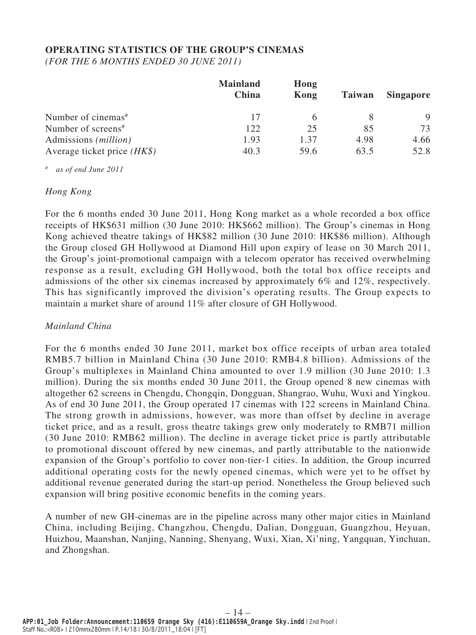# **OPERATING STATISTICS OF THE GROUP'S CINEMAS**

*(FOR THE 6 MONTHS ENDED 30 JUNE 2011)*

|                                | <b>Mainland</b><br>China | Hong<br>Kong | <b>Taiwan</b> | <b>Singapore</b> |
|--------------------------------|--------------------------|--------------|---------------|------------------|
| Number of cinemas <sup>#</sup> | 17                       | 6            |               | 9                |
| Number of screens <sup>#</sup> | 122                      | 25           | 85            | 73               |
| Admissions ( <i>million</i> )  | 1.93                     | 1.37         | 4.98          | 4.66             |
| Average ticket price $(HK\$ )  | 40.3                     | 59.6         | 63.5          | 52.8             |

*# as of end June 2011*

### *Hong Kong*

For the 6 months ended 30 June 2011, Hong Kong market as a whole recorded a box office receipts of HK\$631 million (30 June 2010: HK\$662 million). The Group's cinemas in Hong Kong achieved theatre takings of HK\$82 million (30 June 2010: HK\$86 million). Although the Group closed GH Hollywood at Diamond Hill upon expiry of lease on 30 March 2011, the Group's joint-promotional campaign with a telecom operator has received overwhelming response as a result, excluding GH Hollywood, both the total box office receipts and admissions of the other six cinemas increased by approximately 6% and 12%, respectively. This has significantly improved the division's operating results. The Group expects to maintain a market share of around 11% after closure of GH Hollywood.

# *Mainland China*

For the 6 months ended 30 June 2011, market box office receipts of urban area totaled RMB5.7 billion in Mainland China (30 June 2010: RMB4.8 billion). Admissions of the Group's multiplexes in Mainland China amounted to over 1.9 million (30 June 2010: 1.3 million). During the six months ended 30 June 2011, the Group opened 8 new cinemas with altogether 62 screens in Chengdu, Chongqin, Dongguan, Shangrao, Wuhu, Wuxi and Yingkou. As of end 30 June 2011, the Group operated 17 cinemas with 122 screens in Mainland China. The strong growth in admissions, however, was more than offset by decline in average ticket price, and as a result, gross theatre takings grew only moderately to RMB71 million (30 June 2010: RMB62 million). The decline in average ticket price is partly attributable to promotional discount offered by new cinemas, and partly attributable to the nationwide expansion of the Group's portfolio to cover non-tier-1 cities. In addition, the Group incurred additional operating costs for the newly opened cinemas, which were yet to be offset by additional revenue generated during the start-up period. Nonetheless the Group believed such expansion will bring positive economic benefits in the coming years.

A number of new GH-cinemas are in the pipeline across many other major cities in Mainland China, including Beijing, Changzhou, Chengdu, Dalian, Dongguan, Guangzhou, Heyuan, Huizhou, Maanshan, Nanjing, Nanning, Shenyang, Wuxi, Xian, Xi'ning, Yangquan, Yinchuan, and Zhongshan.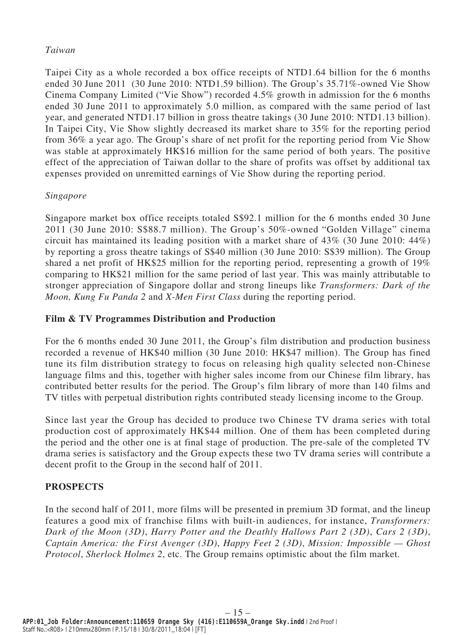# *Taiwan*

Taipei City as a whole recorded a box office receipts of NTD1.64 billion for the 6 months ended 30 June 2011 (30 June 2010: NTD1.59 billion). The Group's 35.71%-owned Vie Show Cinema Company Limited ("Vie Show") recorded 4.5% growth in admission for the 6 months ended 30 June 2011 to approximately 5.0 million, as compared with the same period of last year, and generated NTD1.17 billion in gross theatre takings (30 June 2010: NTD1.13 billion). In Taipei City, Vie Show slightly decreased its market share to 35% for the reporting period from 36% a year ago. The Group's share of net profit for the reporting period from Vie Show was stable at approximately HK\$16 million for the same period of both years. The positive effect of the appreciation of Taiwan dollar to the share of profits was offset by additional tax expenses provided on unremitted earnings of Vie Show during the reporting period.

# *Singapore*

Singapore market box office receipts totaled S\$92.1 million for the 6 months ended 30 June 2011 (30 June 2010: S\$88.7 million). The Group's 50%-owned "Golden Village" cinema circuit has maintained its leading position with a market share of  $43\%$  (30 June 2010:  $44\%$ ) by reporting a gross theatre takings of S\$40 million (30 June 2010: S\$39 million). The Group shared a net profit of HK\$25 million for the reporting period, representing a growth of 19% comparing to HK\$21 million for the same period of last year. This was mainly attributable to stronger appreciation of Singapore dollar and strong lineups like *Transformers: Dark of the Moon, Kung Fu Panda 2* and *X-Men First Class* during the reporting period.

# **Film & TV Programmes Distribution and Production**

For the 6 months ended 30 June 2011, the Group's film distribution and production business recorded a revenue of HK\$40 million (30 June 2010: HK\$47 million). The Group has fined tune its film distribution strategy to focus on releasing high quality selected non-Chinese language films and this, together with higher sales income from our Chinese film library, has contributed better results for the period. The Group's film library of more than 140 films and TV titles with perpetual distribution rights contributed steady licensing income to the Group.

Since last year the Group has decided to produce two Chinese TV drama series with total production cost of approximately HK\$44 million. One of them has been completed during the period and the other one is at final stage of production. The pre-sale of the completed TV drama series is satisfactory and the Group expects these two TV drama series will contribute a decent profit to the Group in the second half of 2011.

# **PROSPECTS**

In the second half of 2011, more films will be presented in premium 3D format, and the lineup features a good mix of franchise films with built-in audiences, for instance, *Transformers: Dark of the Moon (3D)*, *Harry Potter and the Deathly Hallows Part 2 (3D)*, *Cars 2 (3D)*, *Captain America: the First Avenger (3D)*, *Happy Feet 2 (3D)*, *Mission: Impossible — Ghost Protocol*, *Sherlock Holmes 2*, etc. The Group remains optimistic about the film market.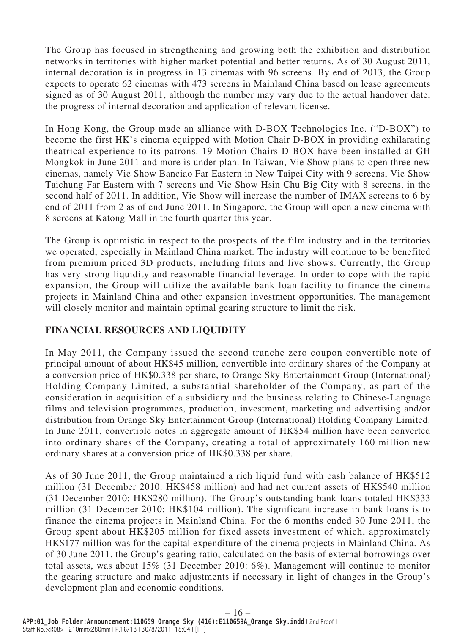The Group has focused in strengthening and growing both the exhibition and distribution networks in territories with higher market potential and better returns. As of 30 August 2011, internal decoration is in progress in 13 cinemas with 96 screens. By end of 2013, the Group expects to operate 62 cinemas with 473 screens in Mainland China based on lease agreements signed as of 30 August 2011, although the number may vary due to the actual handover date, the progress of internal decoration and application of relevant license.

In Hong Kong, the Group made an alliance with D-BOX Technologies Inc. ("D-BOX") to become the first HK's cinema equipped with Motion Chair D-BOX in providing exhilarating theatrical experience to its patrons. 19 Motion Chairs D-BOX have been installed at GH Mongkok in June 2011 and more is under plan. In Taiwan, Vie Show plans to open three new cinemas, namely Vie Show Banciao Far Eastern in New Taipei City with 9 screens, Vie Show Taichung Far Eastern with 7 screens and Vie Show Hsin Chu Big City with 8 screens, in the second half of 2011. In addition, Vie Show will increase the number of IMAX screens to 6 by end of 2011 from 2 as of end June 2011. In Singapore, the Group will open a new cinema with 8 screens at Katong Mall in the fourth quarter this year.

The Group is optimistic in respect to the prospects of the film industry and in the territories we operated, especially in Mainland China market. The industry will continue to be benefited from premium priced 3D products, including films and live shows. Currently, the Group has very strong liquidity and reasonable financial leverage. In order to cope with the rapid expansion, the Group will utilize the available bank loan facility to finance the cinema projects in Mainland China and other expansion investment opportunities. The management will closely monitor and maintain optimal gearing structure to limit the risk.

# **FINANCIAL RESOURCES AND LIQUIDITY**

In May 2011, the Company issued the second tranche zero coupon convertible note of principal amount of about HK\$45 million, convertible into ordinary shares of the Company at a conversion price of HK\$0.338 per share, to Orange Sky Entertainment Group (International) Holding Company Limited, a substantial shareholder of the Company, as part of the consideration in acquisition of a subsidiary and the business relating to Chinese-Language films and television programmes, production, investment, marketing and advertising and/or distribution from Orange Sky Entertainment Group (International) Holding Company Limited. In June 2011, convertible notes in aggregate amount of HK\$54 million have been converted into ordinary shares of the Company, creating a total of approximately 160 million new ordinary shares at a conversion price of HK\$0.338 per share.

As of 30 June 2011, the Group maintained a rich liquid fund with cash balance of HK\$512 million (31 December 2010: HK\$458 million) and had net current assets of HK\$540 million (31 December 2010: HK\$280 million). The Group's outstanding bank loans totaled HK\$333 million (31 December 2010: HK\$104 million). The significant increase in bank loans is to finance the cinema projects in Mainland China. For the 6 months ended 30 June 2011, the Group spent about HK\$205 million for fixed assets investment of which, approximately HK\$177 million was for the capital expenditure of the cinema projects in Mainland China. As of 30 June 2011, the Group's gearing ratio, calculated on the basis of external borrowings over total assets, was about 15% (31 December 2010: 6%). Management will continue to monitor the gearing structure and make adjustments if necessary in light of changes in the Group's development plan and economic conditions.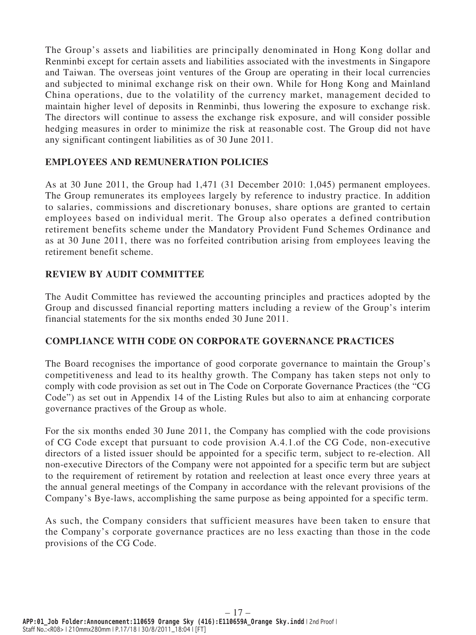The Group's assets and liabilities are principally denominated in Hong Kong dollar and Renminbi except for certain assets and liabilities associated with the investments in Singapore and Taiwan. The overseas joint ventures of the Group are operating in their local currencies and subjected to minimal exchange risk on their own. While for Hong Kong and Mainland China operations, due to the volatility of the currency market, management decided to maintain higher level of deposits in Renminbi, thus lowering the exposure to exchange risk. The directors will continue to assess the exchange risk exposure, and will consider possible hedging measures in order to minimize the risk at reasonable cost. The Group did not have any significant contingent liabilities as of 30 June 2011.

# **EMPLOYEES AND REMUNERATION POLICIES**

As at 30 June 2011, the Group had 1,471 (31 December 2010: 1,045) permanent employees. The Group remunerates its employees largely by reference to industry practice. In addition to salaries, commissions and discretionary bonuses, share options are granted to certain employees based on individual merit. The Group also operates a defined contribution retirement benefits scheme under the Mandatory Provident Fund Schemes Ordinance and as at 30 June 2011, there was no forfeited contribution arising from employees leaving the retirement benefit scheme.

### **REVIEW BY AUDIT COMMITTEE**

The Audit Committee has reviewed the accounting principles and practices adopted by the Group and discussed financial reporting matters including a review of the Group's interim financial statements for the six months ended 30 June 2011.

### **COMPLIANCE WITH CODE ON CORPORATE GOVERNANCE PRACTICES**

The Board recognises the importance of good corporate governance to maintain the Group's competitiveness and lead to its healthy growth. The Company has taken steps not only to comply with code provision as set out in The Code on Corporate Governance Practices (the "CG Code") as set out in Appendix 14 of the Listing Rules but also to aim at enhancing corporate governance practives of the Group as whole.

For the six months ended 30 June 2011, the Company has complied with the code provisions of CG Code except that pursuant to code provision A.4.1.of the CG Code, non-executive directors of a listed issuer should be appointed for a specific term, subject to re-election. All non-executive Directors of the Company were not appointed for a specific term but are subject to the requirement of retirement by rotation and reelection at least once every three years at the annual general meetings of the Company in accordance with the relevant provisions of the Company's Bye-laws, accomplishing the same purpose as being appointed for a specific term.

As such, the Company considers that sufficient measures have been taken to ensure that the Company's corporate governance practices are no less exacting than those in the code provisions of the CG Code.